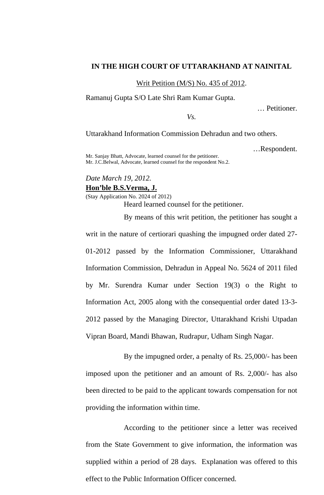## **IN THE HIGH COURT OF UTTARAKHAND AT NAINITAL**

Writ Petition (M/S) No. 435 of 2012.

Ramanuj Gupta S/O Late Shri Ram Kumar Gupta.

… Petitioner.

*Vs.* 

Uttarakhand Information Commission Dehradun and two others.

…Respondent.

Mr. Sanjay Bhatt, Advocate, learned counsel for the petitioner. Mr. J.C.Belwal, Advocate, learned counsel for the respondent No.2.

## *Date March 19, 2012.*  **Hon'ble B.S.Verma, J.**

(Stay Application No. 2024 of 2012) Heard learned counsel for the petitioner.

By means of this writ petition, the petitioner has sought a

writ in the nature of certiorari quashing the impugned order dated 27- 01-2012 passed by the Information Commissioner, Uttarakhand Information Commission, Dehradun in Appeal No. 5624 of 2011 filed by Mr. Surendra Kumar under Section 19(3) o the Right to Information Act, 2005 along with the consequential order dated 13-3- 2012 passed by the Managing Director, Uttarakhand Krishi Utpadan Vipran Board, Mandi Bhawan, Rudrapur, Udham Singh Nagar.

 By the impugned order, a penalty of Rs. 25,000/- has been imposed upon the petitioner and an amount of Rs. 2,000/- has also been directed to be paid to the applicant towards compensation for not providing the information within time.

 According to the petitioner since a letter was received from the State Government to give information, the information was supplied within a period of 28 days. Explanation was offered to this effect to the Public Information Officer concerned.